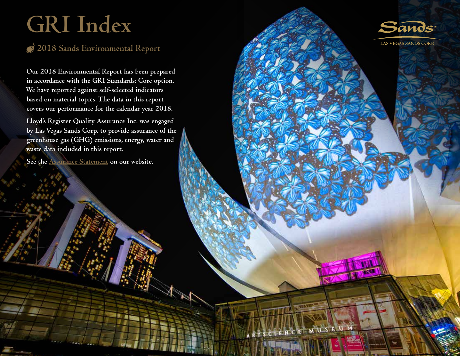# **GRI Index**

### **[2018 Sands Environmental Report](https://www.ifoldsflip.com/i/1125322-sands-eco360-2018-environmental-report)**

**Our 2018 Environmental Report has been prepared in accordance with the GRI Standards: Core option. We have reported against self-selected indicators based on material topics. The data in this report covers our performance for the calendar year 2018.**

**Lloyd's Register Quality Assurance Inc. was engaged by Las Vegas Sands Corp. to provide assurance of the greenhouse gas (GHG) emissions, energy, water and waste data included in this report.**

**See the [Assurance Statement](https://www.sands.com/content/dam/corporate/sands/master/main/home/sands-eco-360/our-news/pdfs/2018-assurance-statement.pdf) on our website.**



ENCE MUSEUM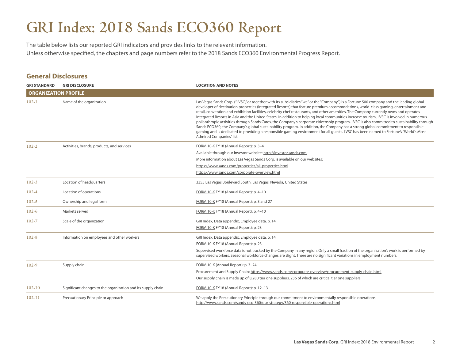### **GRI Index: 2018 Sands ECO360 Report**

The table below lists our reported GRI indicators and provides links to the relevant information. Unless otherwise specified, the chapters and page numbers refer to the 2018 Sands ECO360 Environmental Progress Report.

#### **General Disclosures**

| <b>GRI STANDARD</b>         | <b>GRI DISCLOSURE</b>                                        | <b>LOCATION AND NOTES</b>                                                                                                                                                                                                                                                                                                                                                                                                                                                                                                                                                                                                                                                                                                                                                                                                                                                                                                                                                                                                     |
|-----------------------------|--------------------------------------------------------------|-------------------------------------------------------------------------------------------------------------------------------------------------------------------------------------------------------------------------------------------------------------------------------------------------------------------------------------------------------------------------------------------------------------------------------------------------------------------------------------------------------------------------------------------------------------------------------------------------------------------------------------------------------------------------------------------------------------------------------------------------------------------------------------------------------------------------------------------------------------------------------------------------------------------------------------------------------------------------------------------------------------------------------|
| <b>ORGANIZATION PROFILE</b> |                                                              |                                                                                                                                                                                                                                                                                                                                                                                                                                                                                                                                                                                                                                                                                                                                                                                                                                                                                                                                                                                                                               |
| $I$ 02-I                    | Name of the organization                                     | Las Vegas Sands Corp. ("LVSC," or together with its subsidiaries "we" or the "Company") is a Fortune 500 company and the leading global<br>developer of destination properties (Integrated Resorts) that feature premium accommodations, world-class gaming, entertainment and<br>retail, convention and exhibition facilities, celebrity chef restaurants, and other amenities. The Company currently owns and operates<br>Integrated Resorts in Asia and the United States. In addition to helping local communities increase tourism, LVSC is involved in numerous<br>philanthropic activities through Sands Cares, the Company's corporate citizenship program. LVSC is also committed to sustainability through<br>Sands ECO360, the Company's global sustainability program. In addition, the Company has a strong global commitment to responsible<br>gaming and is dedicated to providing a responsible gaming environment for all guests. LVSC has been named to Fortune's "World's Most<br>Admired Companies" list. |
| $102 - 2$                   | Activities, brands, products, and services                   | FORM 10-K FY18 (Annual Report): p. 3-4                                                                                                                                                                                                                                                                                                                                                                                                                                                                                                                                                                                                                                                                                                                                                                                                                                                                                                                                                                                        |
|                             |                                                              | Available through our investor website: http://investor.sands.com                                                                                                                                                                                                                                                                                                                                                                                                                                                                                                                                                                                                                                                                                                                                                                                                                                                                                                                                                             |
|                             |                                                              | More information about Las Vegas Sands Corp. is available on our websites:                                                                                                                                                                                                                                                                                                                                                                                                                                                                                                                                                                                                                                                                                                                                                                                                                                                                                                                                                    |
|                             |                                                              | https://www.sands.com/properties/all-properties.html                                                                                                                                                                                                                                                                                                                                                                                                                                                                                                                                                                                                                                                                                                                                                                                                                                                                                                                                                                          |
|                             |                                                              | https://www.sands.com/corporate-overview.html                                                                                                                                                                                                                                                                                                                                                                                                                                                                                                                                                                                                                                                                                                                                                                                                                                                                                                                                                                                 |
| $102 - 3$                   | Location of headquarters                                     | 3355 Las Vegas Boulevard South, Las Vegas, Nevada, United States                                                                                                                                                                                                                                                                                                                                                                                                                                                                                                                                                                                                                                                                                                                                                                                                                                                                                                                                                              |
| $102 - 4$                   | Location of operations                                       | FORM 10-K FY18 (Annual Report): p. 4-10                                                                                                                                                                                                                                                                                                                                                                                                                                                                                                                                                                                                                                                                                                                                                                                                                                                                                                                                                                                       |
| $102 - 5$                   | Ownership and legal form                                     | FORM 10-K FY18 (Annual Report): p. 3 and 27                                                                                                                                                                                                                                                                                                                                                                                                                                                                                                                                                                                                                                                                                                                                                                                                                                                                                                                                                                                   |
| $102 - 6$                   | Markets served                                               | FORM 10-K FY18 (Annual Report): p. 4-10                                                                                                                                                                                                                                                                                                                                                                                                                                                                                                                                                                                                                                                                                                                                                                                                                                                                                                                                                                                       |
| $102 - 7$                   | Scale of the organization                                    | GRI Index, Data appendix, Employee data, p. 14                                                                                                                                                                                                                                                                                                                                                                                                                                                                                                                                                                                                                                                                                                                                                                                                                                                                                                                                                                                |
|                             |                                                              | FORM 10-K FY18 (Annual Report): p. 23                                                                                                                                                                                                                                                                                                                                                                                                                                                                                                                                                                                                                                                                                                                                                                                                                                                                                                                                                                                         |
| $102 - 8$                   | Information on employees and other workers                   | GRI Index, Data appendix, Employee data, p. 14                                                                                                                                                                                                                                                                                                                                                                                                                                                                                                                                                                                                                                                                                                                                                                                                                                                                                                                                                                                |
|                             |                                                              | FORM 10-K FY18 (Annual Report): p. 23                                                                                                                                                                                                                                                                                                                                                                                                                                                                                                                                                                                                                                                                                                                                                                                                                                                                                                                                                                                         |
|                             |                                                              | Supervised workforce data is not tracked by the Company in any region. Only a small fraction of the organization's work is performed by<br>supervised workers. Seasonal workforce changes are slight. There are no significant variations in employment numbers.                                                                                                                                                                                                                                                                                                                                                                                                                                                                                                                                                                                                                                                                                                                                                              |
| $102-9$                     | Supply chain                                                 | FORM 10-K (Annual Report): p. 3-24                                                                                                                                                                                                                                                                                                                                                                                                                                                                                                                                                                                                                                                                                                                                                                                                                                                                                                                                                                                            |
|                             |                                                              | Procurement and Supply Chain: https://www.sands.com/corporate-overview/procurement-supply-chain.html                                                                                                                                                                                                                                                                                                                                                                                                                                                                                                                                                                                                                                                                                                                                                                                                                                                                                                                          |
|                             |                                                              | Our supply chain is made up of 8,280 tier one suppliers, 236 of which are critical tier one suppliers.                                                                                                                                                                                                                                                                                                                                                                                                                                                                                                                                                                                                                                                                                                                                                                                                                                                                                                                        |
| $102 - 10$                  | Significant changes to the organization and its supply chain | FORM 10-K FY18 (Annual Report): p. 12-13                                                                                                                                                                                                                                                                                                                                                                                                                                                                                                                                                                                                                                                                                                                                                                                                                                                                                                                                                                                      |
| $102 - 11$                  | Precautionary Principle or approach                          | We apply the Precautionary Principle through our commitment to environmentally responsible operations:<br>http://www.sands.com/sands-eco-360/our-strategy/360-responsible-operations.html                                                                                                                                                                                                                                                                                                                                                                                                                                                                                                                                                                                                                                                                                                                                                                                                                                     |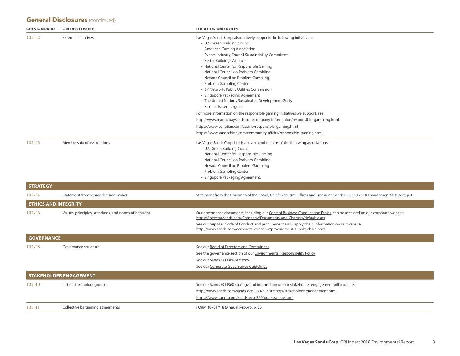#### **General Disclosures** (continued)

| <b>GRI STANDARD</b>         | <b>GRI DISCLOSURE</b>                                | <b>LOCATION AND NOTES</b>                                                                                                                                                                                                                                                                                                                                                                                                                                                                                                                                                                                                                                                                                                                                                            |
|-----------------------------|------------------------------------------------------|--------------------------------------------------------------------------------------------------------------------------------------------------------------------------------------------------------------------------------------------------------------------------------------------------------------------------------------------------------------------------------------------------------------------------------------------------------------------------------------------------------------------------------------------------------------------------------------------------------------------------------------------------------------------------------------------------------------------------------------------------------------------------------------|
| $102 - 12$                  | <b>External initiatives</b>                          | Las Vegas Sands Corp. also actively supports the following initiatives:<br>- U.S. Green Building Council<br>- American Gaming Association<br>- Events Industry Council Sustainability Committee<br>- Better Buildings Alliance<br>- National Center for Responsible Gaming<br>- National Council on Problem Gambling<br>- Nevada Council on Problem Gambling<br>- Problem Gambling Center<br>- 3P Network, Public Utilities Commission<br>- Singapore Packaging Agreement<br>- The United Nations Sustainable Development Goals<br>- Science Based Targets.<br>For more information on the responsible gaming initiatives we support, see:<br>http://www.marinabaysands.com/company-information/responsible-gambling.html<br>https://www.venetian.com/casino/responsible-gaming.html |
| $102 - 13$                  | Membership of associations                           | https://www.sandschina.com/community-affairs/responsible-gaming.html<br>Las Vegas Sands Corp. holds active memberships of the following associations:<br>- U.S. Green Building Council<br>- National Center for Responsible Gaming<br>- National Council on Problem Gambling<br>- Nevada Council on Problem Gambling<br>- Problem Gambling Center<br>- Singapore Packaging Agreement.                                                                                                                                                                                                                                                                                                                                                                                                |
| <b>STRATEGY</b>             |                                                      |                                                                                                                                                                                                                                                                                                                                                                                                                                                                                                                                                                                                                                                                                                                                                                                      |
| $102 - 14$                  | Statement from senior decision-maker                 | Statement from the Chairman of the Board, Chief Executive Officer and Treasurer, Sands ECO360 2018 Environmental Report: p.3                                                                                                                                                                                                                                                                                                                                                                                                                                                                                                                                                                                                                                                         |
| <b>ETHICS AND INTEGRITY</b> |                                                      |                                                                                                                                                                                                                                                                                                                                                                                                                                                                                                                                                                                                                                                                                                                                                                                      |
| $102 - 16$                  | Values, principles, standards, and norms of behavior | Our governance documents, including our Code of Business Conduct and Ethics, can be accessed on our corporate website:<br>https://investor.sands.com/Company/Documents-and-Charters/default.aspx<br>See our Supplier Code of Conduct and procurement and supply chain information on our website:<br>http://www.sands.com/corporate-overview/procurement-supply-chain.html                                                                                                                                                                                                                                                                                                                                                                                                           |
| <b>GOVERNANCE</b>           |                                                      |                                                                                                                                                                                                                                                                                                                                                                                                                                                                                                                                                                                                                                                                                                                                                                                      |
| $102 - 18$                  | Governance structure                                 | See our Board of Directors and Committees<br>See the governance section of our Environmental Responsibility Policy<br>See our Sands ECO360 Strategy<br>See our Corporate Governance Guidelines                                                                                                                                                                                                                                                                                                                                                                                                                                                                                                                                                                                       |
|                             | <b>STAKEHOLDER ENGAGEMENT</b>                        |                                                                                                                                                                                                                                                                                                                                                                                                                                                                                                                                                                                                                                                                                                                                                                                      |
| 102-40                      | List of stakeholder groups                           | See our Sands ECO360 strategy and information on our stakeholder engagement pillar online:<br>http://www.sands.com/sands-eco-360/our-strategy/stakeholder-engagement.html<br>https://www.sands.com/sands-eco-360/our-strategy.html                                                                                                                                                                                                                                                                                                                                                                                                                                                                                                                                                   |
| $102 - 41$                  | Collective bargaining agreements                     | FORM 10-K FY18 (Annual Report): p. 23                                                                                                                                                                                                                                                                                                                                                                                                                                                                                                                                                                                                                                                                                                                                                |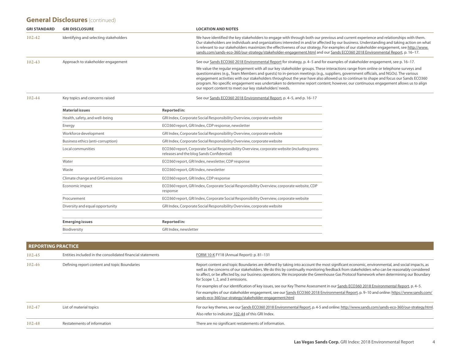#### <span id="page-3-0"></span>**General Disclosures** (continued)

| <b>GRI STANDARD</b> | <b>GRI DISCLOSURE</b>                  | <b>LOCATION AND NOTES</b>                                                                                                                                                                                                                                                                                                                                                                                                                                                                                                                                                                                         |
|---------------------|----------------------------------------|-------------------------------------------------------------------------------------------------------------------------------------------------------------------------------------------------------------------------------------------------------------------------------------------------------------------------------------------------------------------------------------------------------------------------------------------------------------------------------------------------------------------------------------------------------------------------------------------------------------------|
| 102-42              | Identifying and selecting stakeholders | We have identified the key stakeholders to engage with through both our previous and current experience and relationships with them.<br>Our stakeholders are individuals and organizations interested in and/or affected by our business. Understanding and taking action on what<br>is relevant to our stakeholders maximizes the effectiveness of our strategy. For examples of our stakeholder engagement, see http://www.<br>sands.com/sands-eco-360/our-strategy/stakeholder-engagement.html and our Sands ECO360 2018 Environmental Report, p. 16-17.                                                       |
| $102 - 43$          | Approach to stakeholder engagement     | See our Sands ECO360 2018 Environmental Report for strategy, p. 4-5 and for examples of stakeholder engagement, see p. 16-17.                                                                                                                                                                                                                                                                                                                                                                                                                                                                                     |
|                     |                                        | We value the regular engagement with all our key stakeholder groups. These interactions range from online or telephone surveys and<br>questionnaires (e.g., Team Members and quests) to in-person meetings (e.g., suppliers, government officials, and NGOs). The various<br>engagement activities with our stakeholders throughout the year have also allowed us to continue to shape and focus our Sands ECO360<br>program. No specific engagement was undertaken to determine report content; however, our continuous engagement allows us to align<br>our report content to meet our key stakeholders' needs. |
| $102 - 44$          | Key topics and concerns raised         | See our Sands ECO360 2018 Environmental Report, p. 4-5, and p. 16-17                                                                                                                                                                                                                                                                                                                                                                                                                                                                                                                                              |
|                     | <b>Material issues</b>                 | <b>Reported in:</b>                                                                                                                                                                                                                                                                                                                                                                                                                                                                                                                                                                                               |
|                     | Health, safety, and well-being         | GRI Index, Corporate Social Responsibility Overview, corporate website                                                                                                                                                                                                                                                                                                                                                                                                                                                                                                                                            |
|                     | Energy                                 | ECO360 report, GRI Index, CDP response, newsletter                                                                                                                                                                                                                                                                                                                                                                                                                                                                                                                                                                |
|                     | Workforce development                  | GRI Index, Corporate Social Responsibility Overview, corporate website                                                                                                                                                                                                                                                                                                                                                                                                                                                                                                                                            |
|                     | Business ethics (anti-corruption)      | GRI Index, Corporate Social Responsibility Overview, corporate website                                                                                                                                                                                                                                                                                                                                                                                                                                                                                                                                            |
|                     | Local communities                      | ECO360 report, Corporate Social Responsibility Overview, corporate website (including press<br>releases and the blog Sands Confidential)                                                                                                                                                                                                                                                                                                                                                                                                                                                                          |
|                     | Water                                  | ECO360 report, GRI Index, newsletter, CDP response                                                                                                                                                                                                                                                                                                                                                                                                                                                                                                                                                                |
|                     | Waste                                  | ECO360 report, GRI Index, newsletter                                                                                                                                                                                                                                                                                                                                                                                                                                                                                                                                                                              |
|                     | Climate change and GHG emissions       | ECO360 report, GRI Index, CDP response                                                                                                                                                                                                                                                                                                                                                                                                                                                                                                                                                                            |
|                     | Economic impact                        | ECO360 report, GRI Index, Corporate Social Responsibility Overview, corporate website, CDP<br>response                                                                                                                                                                                                                                                                                                                                                                                                                                                                                                            |
|                     | Procurement                            | ECO360 report, GRI Index, Corporate Social Responsibility Overview, corporate website                                                                                                                                                                                                                                                                                                                                                                                                                                                                                                                             |
|                     | Diversity and equal opportunity        | GRI Index, Corporate Social Responsibility Overview, corporate website                                                                                                                                                                                                                                                                                                                                                                                                                                                                                                                                            |
|                     | <b>Emerging issues</b>                 | <b>Reported in:</b>                                                                                                                                                                                                                                                                                                                                                                                                                                                                                                                                                                                               |
|                     | Biodiversity                           | GRI Index, newsletter                                                                                                                                                                                                                                                                                                                                                                                                                                                                                                                                                                                             |

| <b>REPORTING PRACTICE</b> |                                                            |                                                                                                                                                                                                                                                                                                                                                                                                                                                                            |
|---------------------------|------------------------------------------------------------|----------------------------------------------------------------------------------------------------------------------------------------------------------------------------------------------------------------------------------------------------------------------------------------------------------------------------------------------------------------------------------------------------------------------------------------------------------------------------|
| $102 - 45$                | Entities included in the consolidated financial statements | FORM 10-K FY18 (Annual Report): p. 81-131                                                                                                                                                                                                                                                                                                                                                                                                                                  |
| 102-46                    | Defining report content and topic Boundaries               | Report content and topic Boundaries are defined by taking into account the most significant economic, environmental, and social impacts, as<br>well as the concerns of our stakeholders. We do this by continually monitoring feedback from stakeholders who can be reasonably considered<br>to affect, or be affected by, our business operations. We incorporate the Greenhouse Gas Protocol framework when determining our Boundary<br>for Scope 1, 2, and 3 emissions. |
|                           |                                                            | For examples of our identification of key issues, see our Key Theme Assessment in our Sands ECO360 2018 Environmental Report, p. 4-5.                                                                                                                                                                                                                                                                                                                                      |
|                           |                                                            | For examples of our stakeholder engagement, see our Sands ECO360 2018 Environmental Report, p. 9-10 and online: https://www.sands.com/<br>sands-eco-360/our-strategy/stakeholder-engagement.html                                                                                                                                                                                                                                                                           |
| 102-47                    | List of material topics                                    | For our key themes, see our Sands ECO360 2018 Environmental Report, p. 4-5 and online: http://www.sands.com/sands-eco-360/our-strategy.html.<br>Also refer to indicator 102-44 of this GRI Index.                                                                                                                                                                                                                                                                          |
| 102-48                    | Restatements of information                                | There are no significant restatements of information.                                                                                                                                                                                                                                                                                                                                                                                                                      |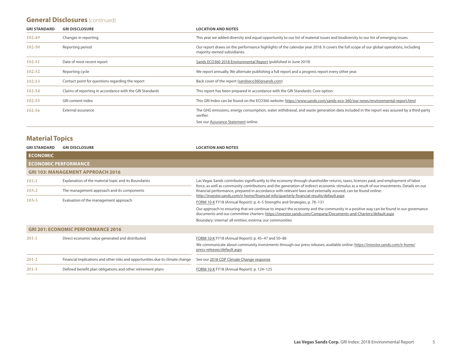#### **General Disclosures** (continued)

| <b>GRI STANDARD</b> | <b>GRI DISCLOSURE</b>                                    | <b>LOCATION AND NOTES</b>                                                                                                                                              |
|---------------------|----------------------------------------------------------|------------------------------------------------------------------------------------------------------------------------------------------------------------------------|
| 102-49              | Changes in reporting                                     | This year we added diversity and equal opportunity to our list of material issues and biodiversity to our list of emerging issues.                                     |
| $102 - 50$          | Reporting period                                         | Our report draws on the performance highlights of the calendar year 2018. It covers the full scope of our global operations, including<br>majority-owned subsidiaries. |
| $102 - 51$          | Date of most recent report                               | Sands ECO360 2018 Environmental Report (published in June 2019)                                                                                                        |
| $102 - 52$          | Reporting cycle                                          | We report annually. We alternate publishing a full report and a progress report every other year.                                                                      |
| $102 - 53$          | Contact point for questions regarding the report         | Back cover of the report (sandseco360@sands.com)                                                                                                                       |
| $102 - 54$          | Claims of reporting in accordance with the GRI Standards | This report has been prepared in accordance with the GRI Standards: Core option.                                                                                       |
| $102 - 55$          | <b>GRI</b> content index                                 | This GRI Index can be found on the ECO360 website: https://www.sands.com/sands-eco-360/our-news/environmental-report.html                                              |
| $102 - 56$          | External assurance                                       | The GHG emissions, energy consumption, water withdrawal, and waste generation data included in the report was assured by a third-party<br>verifier.                    |
|                     |                                                          | See our Assurance Statement online.                                                                                                                                    |

#### **Material Topics**

| <b>GRI STANDARD</b>                       | <b>GRI DISCLOSURE</b>                                                          | <b>LOCATION AND NOTES</b>                                                                                                                                                                                                                                                                                                                               |  |
|-------------------------------------------|--------------------------------------------------------------------------------|---------------------------------------------------------------------------------------------------------------------------------------------------------------------------------------------------------------------------------------------------------------------------------------------------------------------------------------------------------|--|
| <b>ECONOMIC</b>                           |                                                                                |                                                                                                                                                                                                                                                                                                                                                         |  |
| <b>ECONOMIC PERFORMANCE</b>               |                                                                                |                                                                                                                                                                                                                                                                                                                                                         |  |
|                                           | <b>GRI 103: MANAGEMENT APPROACH 2016</b>                                       |                                                                                                                                                                                                                                                                                                                                                         |  |
| $I$ 03-I                                  | Explanation of the material topic and its Boundaries                           | Las Vegas Sands contributes significantly to the economy through shareholder returns, taxes, licenses paid, and employment of labor                                                                                                                                                                                                                     |  |
| $103 - 2$                                 | The management approach and its components                                     | force, as well as community contributions and the generation of indirect economic stimulus as a result of our investments. Details on our<br>financial performance, prepared in accordance with relevant laws and externally assured, can be found online:<br>http://investor.sands.com/ir-home/financial-info/quarterly-financial-results/default.aspx |  |
| $103 - 3$                                 | Evaluation of the management approach                                          | FORM 10-K FY18 (Annual Report): p. 4-5 Strengths and Strategies, p. 78-131                                                                                                                                                                                                                                                                              |  |
|                                           |                                                                                | Our approach to ensuring that we continue to impact the economy and the community in a positive way can be found in our governance<br>documents and our committee charters: https://investor.sands.com/Company/Documents-and-Charters/default.aspx                                                                                                      |  |
|                                           |                                                                                | Boundary: internal: all entities; externa; our communities                                                                                                                                                                                                                                                                                              |  |
| <b>GRI 201: ECONOMIC PERFORMANCE 2016</b> |                                                                                |                                                                                                                                                                                                                                                                                                                                                         |  |
| $20I-I$                                   | Direct economic value generated and distributed                                | FORM 10-K FY18 (Annual Report): p. 45-47 and 50-86                                                                                                                                                                                                                                                                                                      |  |
|                                           |                                                                                | We communicate about community investments through our press releases, available online: https://investor.sands.com/ir-home/<br>press-releases/default.aspx                                                                                                                                                                                             |  |
| $20I-2$                                   | Financial implications and other risks and opportunities due to climate change | See our 2018 CDP Climate Change response                                                                                                                                                                                                                                                                                                                |  |
| $20I - 3$                                 | Defined benefit plan obligations and other retirement plans                    | FORM 10-K FY18 (Annual Report): p. 124-125                                                                                                                                                                                                                                                                                                              |  |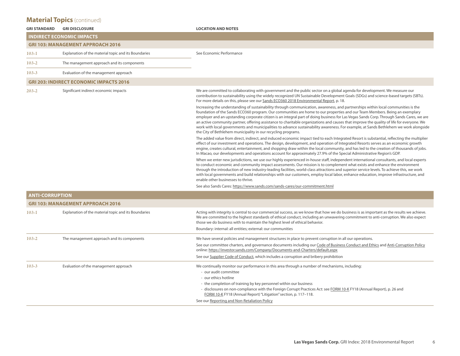| <b>GRI STANDARD</b>    | <b>GRI DISCLOSURE</b>                                | <b>LOCATION AND NOTES</b>                                                                                                                                                                                                                                                                                                                                                                                                                                                                                                                                                                                                                                                                                                                                           |
|------------------------|------------------------------------------------------|---------------------------------------------------------------------------------------------------------------------------------------------------------------------------------------------------------------------------------------------------------------------------------------------------------------------------------------------------------------------------------------------------------------------------------------------------------------------------------------------------------------------------------------------------------------------------------------------------------------------------------------------------------------------------------------------------------------------------------------------------------------------|
|                        | <b>INDIRECT ECONOMIC IMPACTS</b>                     |                                                                                                                                                                                                                                                                                                                                                                                                                                                                                                                                                                                                                                                                                                                                                                     |
|                        | <b>GRI 103: MANAGEMENT APPROACH 2016</b>             |                                                                                                                                                                                                                                                                                                                                                                                                                                                                                                                                                                                                                                                                                                                                                                     |
| $I$ 03- $I$            | Explanation of the material topic and its Boundaries | See Economic Performance                                                                                                                                                                                                                                                                                                                                                                                                                                                                                                                                                                                                                                                                                                                                            |
| $103 - 2$              | The management approach and its components           |                                                                                                                                                                                                                                                                                                                                                                                                                                                                                                                                                                                                                                                                                                                                                                     |
| $103 - 3$              | Evaluation of the management approach                |                                                                                                                                                                                                                                                                                                                                                                                                                                                                                                                                                                                                                                                                                                                                                                     |
|                        | <b>GRI 203: INDIRECT ECONOMIC IMPACTS 2016</b>       |                                                                                                                                                                                                                                                                                                                                                                                                                                                                                                                                                                                                                                                                                                                                                                     |
| $203 - 2$              | Significant indirect economic impacts                | We are committed to collaborating with government and the public sector on a global agenda for development. We measure our<br>contribution to sustainability using the widely recognized UN Sustainable Development Goals (SDGs) and science-based targets (SBTs).<br>For more details on this, please see our Sands ECO360 2018 Environmental Report, p. 18.                                                                                                                                                                                                                                                                                                                                                                                                       |
|                        |                                                      | Increasing the understanding of sustainability through communication, awareness, and partnerships within local communities is the<br>foundation of the Sands ECO360 program. Our communities are home to our properties and our Team Members. Being an exemplary<br>employer and an upstanding corporate citizen is an integral part of doing business for Las Vegas Sands Corp. Through Sands Cares, we are<br>an active community partner, offering assistance to charitable organizations and causes that improve the quality of life for everyone. We<br>work with local governments and municipalities to advance sustainability awareness. For example, at Sands Bethlehem we work alongside<br>the City of Bethlehem municipality in our recycling programs. |
|                        |                                                      | The added value from direct, indirect, and induced economic impact tied to each Integrated Resort is substantial, reflecting the multiplier<br>effect of our investment and operations. The design, development, and operation of Integrated Resorts serves as an economic growth<br>engine, creates cultural, entertainment, and shopping draw within the local community, and has led to the creation of thousands of jobs.<br>In Macao, our developments and operations account for approximately 27.9% of the Special Administrative Region's GDP.                                                                                                                                                                                                              |
|                        |                                                      | When we enter new jurisdictions, we use our highly experienced in-house staff, independent international consultants, and local experts<br>to conduct economic and community impact assessments. Our mission is to complement what exists and enhance the environment<br>through the introduction of new industry-leading facilities, world-class attractions and superior service levels. To achieve this, we work<br>with local governments and build relationships with our customers, employ local labor, enhance education, improve infrastructure, and<br>enable other businesses to thrive.                                                                                                                                                                  |
|                        |                                                      | See also Sands Cares: https://www.sands.com/sands-cares/our-commitment.html                                                                                                                                                                                                                                                                                                                                                                                                                                                                                                                                                                                                                                                                                         |
| <b>ANTI-CORRUPTION</b> |                                                      |                                                                                                                                                                                                                                                                                                                                                                                                                                                                                                                                                                                                                                                                                                                                                                     |
|                        | <b>GRI 103: MANAGEMENT APPROACH 2016</b>             |                                                                                                                                                                                                                                                                                                                                                                                                                                                                                                                                                                                                                                                                                                                                                                     |
| 103-I                  | Explanation of the material topic and its Boundaries | Acting with integrity is central to our commercial success, as we know that how we do business is as important as the results we achieve.<br>We are committed to the highest standards of ethical conduct, including an unwavering commitment to anti-corruption. We also expect<br>those we do business with to maintain the highest level of ethical behavior.                                                                                                                                                                                                                                                                                                                                                                                                    |
|                        |                                                      | Boundary: internal: all entities; external: our communities                                                                                                                                                                                                                                                                                                                                                                                                                                                                                                                                                                                                                                                                                                         |
| $103 - 2$              | The management approach and its components           | We have several policies and management structures in place to prevent corruption in all our operations.                                                                                                                                                                                                                                                                                                                                                                                                                                                                                                                                                                                                                                                            |
|                        |                                                      | See our committee charters, and governance documents including our Code of Business Conduct and Ethics and Anti-Corruption Policy<br>online: https://investor.sands.com/Company/Documents-and-Charters/default.aspx                                                                                                                                                                                                                                                                                                                                                                                                                                                                                                                                                 |
|                        |                                                      | See our Supplier Code of Conduct, which includes a corruption and bribery prohibition                                                                                                                                                                                                                                                                                                                                                                                                                                                                                                                                                                                                                                                                               |
| $103 - 3$              | Evaluation of the management approach                | We continually monitor our performance in this area through a number of mechanisms, including:<br>- our audit committee<br>- our ethics hotline<br>- the completion of training by key personnel within our business<br>- disclosures on non-compliance with the Foreign Corrupt Practices Act: see FORM 10-K FY18 (Annual Report), p. 26 and                                                                                                                                                                                                                                                                                                                                                                                                                       |
|                        |                                                      | FORM 10-K FY18 (Annual Report) "Litigation" section, p. 117-118.<br>See our Reporting and Non-Retaliation Policy                                                                                                                                                                                                                                                                                                                                                                                                                                                                                                                                                                                                                                                    |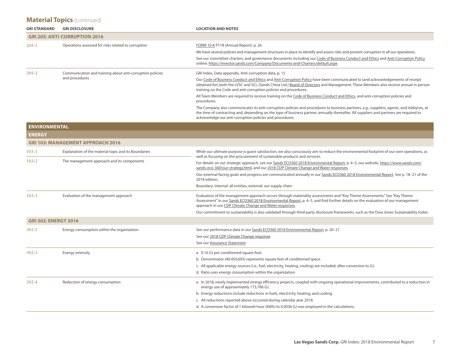| <b>GRI STANDARD</b>         | <b>GRI DISCLOSURE</b>                                     | <b>LOCATION AND NOTES</b>                                                                                                                                                                                                                                                                                                                                                                              |
|-----------------------------|-----------------------------------------------------------|--------------------------------------------------------------------------------------------------------------------------------------------------------------------------------------------------------------------------------------------------------------------------------------------------------------------------------------------------------------------------------------------------------|
|                             | <b>GRI 205: ANTI-CORRUPTION 2016</b>                      |                                                                                                                                                                                                                                                                                                                                                                                                        |
| $205 - I$                   | Operations assessed for risks related to corruption       | FORM 10-K FY18 (Annual Report): p. 26<br>We have several policies and management structures in place to identify and assess risks and prevent corruption in all our operations.<br>See our committee charters, and governance documents including our Code of Business Conduct and Ethics and Anti-Corruption Policy<br>online: https://investor.sands.com/Company/Documents-and-Charters/default.aspx |
| $205 - 2$                   | Communication and training about anti-corruption policies | GRI Index, Data appendix, Anti-corruption data, p. 15                                                                                                                                                                                                                                                                                                                                                  |
|                             | and procedures                                            | Our Code of Business Conduct and Ethics and Anti-Corruption Policy have been communicated to (and acknowledgements of receipt<br>obtained for) both the LVSC and SCL (Sands China Ltd.) Board of Directors and Management. These Members also receive annual in-person<br>training on the Code and anti-corruption policies and procedures.                                                            |
|                             |                                                           | All Team Members are required to receive training on the Code of Business Conduct and Ethics, and anti-corruption policies and<br>procedures.                                                                                                                                                                                                                                                          |
|                             |                                                           | The Company also communicates its anti-corruption policies and procedures to business partners, e.g., suppliers, agents, and lobbyists, at<br>the time of contracting and, depending on the type of business partner, annually thereafter. All suppliers and partners are required to<br>acknowledge our anti-corruption policies and procedures.                                                      |
| <b>ENVIRONMENTAL</b>        |                                                           |                                                                                                                                                                                                                                                                                                                                                                                                        |
| <b>ENERGY</b>               |                                                           |                                                                                                                                                                                                                                                                                                                                                                                                        |
|                             | <b>GRI 103: MANAGEMENT APPROACH 2016</b>                  |                                                                                                                                                                                                                                                                                                                                                                                                        |
| $I$ 03-I                    | Explanation of the material topic and its Boundaries      | While our ultimate purpose is guest satisfaction, we also consciously aim to reduce the environmental footprint of our own operations, as<br>well as focusing on the procurement of sustainable products and services.                                                                                                                                                                                 |
| 103-2                       | The management approach and its components                | For details on our strategic approach, see our Sands ECO360 2018 Environmental Report, p. 4-5, our website, https://www.sands.com/<br>sands-eco-360/our-strategy.html, and our 2018 CDP Climate Change and Water responses.                                                                                                                                                                            |
|                             |                                                           | Our external-facing goals and progress are communicated annually in our Sands ECO360 2018 Environmental Report. See p. 18-21 of the<br>2018 edition.                                                                                                                                                                                                                                                   |
|                             |                                                           | Boundary: internal: all entities; external: our supply chain                                                                                                                                                                                                                                                                                                                                           |
| $103 - 3$                   | Evaluation of the management approach                     | Evaluation of the management approach occurs through materiality assessments and "Key Theme Assessments." See "Key Theme<br>Assessment" in our Sands ECO360 2018 Environmental Report, p. 4-5, and find further details on the evaluation of our management<br>approach in our CDP Climate Change and Water responses.                                                                                 |
|                             |                                                           | Our commitment to sustainability is also validated through third-party disclosure frameworks, such as the Dow Jones Sustainability Index.                                                                                                                                                                                                                                                              |
| <b>GRI 302: ENERGY 2016</b> |                                                           |                                                                                                                                                                                                                                                                                                                                                                                                        |
| $302 - I$                   | Energy consumption within the organization                | See our performance data in our Sands ECO360 2018 Environmental Report, p. 20-21                                                                                                                                                                                                                                                                                                                       |
|                             |                                                           | See our 2018 CDP Climate Change response                                                                                                                                                                                                                                                                                                                                                               |
|                             |                                                           | See our <b>Assurance Statement</b>                                                                                                                                                                                                                                                                                                                                                                     |
| $302 - 3$                   | Energy intensity                                          | a. 0.16 GJ per conditioned square foot.                                                                                                                                                                                                                                                                                                                                                                |
|                             |                                                           | b. Denominator (49,450,693) represents square feet of conditioned space.                                                                                                                                                                                                                                                                                                                               |
|                             |                                                           | c. All applicable energy sources (i.e., fuel, electricity, heating, cooling) are included, after conversion to GJ.<br>d. Ratio uses energy consumption within the organization.                                                                                                                                                                                                                        |
|                             |                                                           |                                                                                                                                                                                                                                                                                                                                                                                                        |
| $302 - 4$                   | Reduction of energy consumption                           | a. In 2018, newly implemented energy efficiency projects, coupled with ongoing operational improvements, contributed to a reduction in<br>energy use of approximately 173,786 GJ.                                                                                                                                                                                                                      |
|                             |                                                           | b. Energy reductions include reductions in fuels, electricity, heating, and cooling.                                                                                                                                                                                                                                                                                                                   |
|                             |                                                           | c. All reductions reported above occurred during calendar year 2018.                                                                                                                                                                                                                                                                                                                                   |
|                             |                                                           | d. A conversion factor of 1 kilowatt hour (kWh) to 0.0036 GJ was employed in the calculations.                                                                                                                                                                                                                                                                                                         |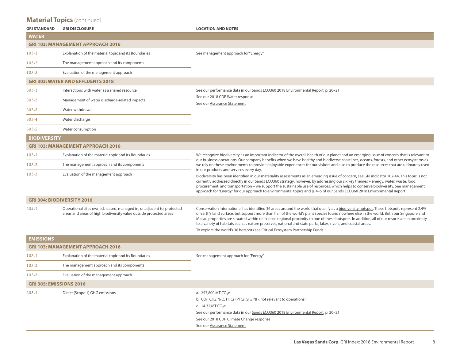| <b>GRI STANDARD</b>            | <b>GRI DISCLOSURE</b>                                                                                                                        | <b>LOCATION AND NOTES</b>                                                                                                                                                                                                                                                                                                                                                                                                                                                                                                                                 |  |  |  |
|--------------------------------|----------------------------------------------------------------------------------------------------------------------------------------------|-----------------------------------------------------------------------------------------------------------------------------------------------------------------------------------------------------------------------------------------------------------------------------------------------------------------------------------------------------------------------------------------------------------------------------------------------------------------------------------------------------------------------------------------------------------|--|--|--|
| <b>WATER</b>                   |                                                                                                                                              |                                                                                                                                                                                                                                                                                                                                                                                                                                                                                                                                                           |  |  |  |
|                                | <b>GRI 103: MANAGEMENT APPROACH 2016</b>                                                                                                     |                                                                                                                                                                                                                                                                                                                                                                                                                                                                                                                                                           |  |  |  |
| 103-1                          | Explanation of the material topic and its Boundaries                                                                                         | See management approach for "Energy"                                                                                                                                                                                                                                                                                                                                                                                                                                                                                                                      |  |  |  |
| $103 - 2$                      | The management approach and its components                                                                                                   |                                                                                                                                                                                                                                                                                                                                                                                                                                                                                                                                                           |  |  |  |
| $103 - 3$                      | Evaluation of the management approach                                                                                                        |                                                                                                                                                                                                                                                                                                                                                                                                                                                                                                                                                           |  |  |  |
|                                | <b>GRI 303: WATER AND EFFLUENTS 2018</b>                                                                                                     |                                                                                                                                                                                                                                                                                                                                                                                                                                                                                                                                                           |  |  |  |
| $303 - 1$                      | Interactions with water as a shared resource                                                                                                 | See our performance data in our Sands ECO360 2018 Environmental Report, p. 20-21                                                                                                                                                                                                                                                                                                                                                                                                                                                                          |  |  |  |
| $303 - 2$                      | Management of water discharge-related impacts                                                                                                | See our 2018 CDP Water response<br>See our Assurance Statement                                                                                                                                                                                                                                                                                                                                                                                                                                                                                            |  |  |  |
| $303 - 3$                      | Water withdrawal                                                                                                                             |                                                                                                                                                                                                                                                                                                                                                                                                                                                                                                                                                           |  |  |  |
| $303 - 4$                      | Water discharge                                                                                                                              |                                                                                                                                                                                                                                                                                                                                                                                                                                                                                                                                                           |  |  |  |
| $303 - 5$                      | Water consumption                                                                                                                            |                                                                                                                                                                                                                                                                                                                                                                                                                                                                                                                                                           |  |  |  |
| <b>BIODIVERSITY</b>            |                                                                                                                                              |                                                                                                                                                                                                                                                                                                                                                                                                                                                                                                                                                           |  |  |  |
|                                | <b>GRI 103: MANAGEMENT APPROACH 2016</b>                                                                                                     |                                                                                                                                                                                                                                                                                                                                                                                                                                                                                                                                                           |  |  |  |
| 103-1                          | Explanation of the material topic and its Boundaries                                                                                         | We recognize biodiversity as an important indicator of the overall health of our planet and an emerging issue of concern that is relevant to<br>our business operations. Our company benefits when we have healthy and biodiverse coastlines, oceans, forests, and other ecosystems as                                                                                                                                                                                                                                                                    |  |  |  |
| $103 - 2$                      | The management approach and its components                                                                                                   | we rely on these environments to provide enjoyable experiences for our visitors and also to produce the resources that are ultimately used<br>in our products and services every day.                                                                                                                                                                                                                                                                                                                                                                     |  |  |  |
| $103 - 3$                      | Evaluation of the management approach                                                                                                        | Biodiversity has been identified in our materiality assessments as an emerging issue of concern, see GRI indicator 102-44. This topic is not<br>currently addressed directly in our Sands ECO360 strategy; however, by addressing our six key themes - energy, water, waste, food,<br>procurement, and transportation – we support the sustainable use of resources, which helps to conserve biodiversity. See management<br>approach for "Energy" for our approach to environmental topics and p. 4–5 of our Sands ECO360 2018 Environmental Report.     |  |  |  |
|                                | <b>GRI 304: BIODIVERSITY 2016</b>                                                                                                            |                                                                                                                                                                                                                                                                                                                                                                                                                                                                                                                                                           |  |  |  |
| $304 - I$                      | Operational sites owned, leased, managed in, or adjacent to, protected<br>areas and areas of high biodiversity value outside protected areas | Conservation International has identified 36 areas around the world that qualify as a biodiversity hotspot. These hotspots represent 2.4%<br>of Earth's land surface, but support more than half of the world's plant species found nowhere else in the world. Both our Singapore and<br>Macau properties are situated within or in close regional proximity to one of these hotspots. In addition, all of our resorts are in proximity<br>to a variety of habitats such as nature preserves, national and state parks, lakes, rivers, and coastal areas. |  |  |  |
|                                |                                                                                                                                              | To explore the world's 36 hotspots see Critical Ecosystem Partnership Funds.                                                                                                                                                                                                                                                                                                                                                                                                                                                                              |  |  |  |
| <b>EMISSIONS</b>               |                                                                                                                                              |                                                                                                                                                                                                                                                                                                                                                                                                                                                                                                                                                           |  |  |  |
|                                | <b>GRI 103: MANAGEMENT APPROACH 2016</b>                                                                                                     |                                                                                                                                                                                                                                                                                                                                                                                                                                                                                                                                                           |  |  |  |
| $103 - 1$                      | Explanation of the material topic and its Boundaries                                                                                         | See management approach for "Energy"                                                                                                                                                                                                                                                                                                                                                                                                                                                                                                                      |  |  |  |
| $103 - 2$                      | The management approach and its components                                                                                                   |                                                                                                                                                                                                                                                                                                                                                                                                                                                                                                                                                           |  |  |  |
| $103 - 3$                      | Evaluation of the management approach                                                                                                        |                                                                                                                                                                                                                                                                                                                                                                                                                                                                                                                                                           |  |  |  |
| <b>GRI 305: EMISSIONS 2016</b> |                                                                                                                                              |                                                                                                                                                                                                                                                                                                                                                                                                                                                                                                                                                           |  |  |  |
| $305 - 1$                      | Direct (Scope 1) GHG emissions                                                                                                               | a. 257,800 MT CO <sub>2</sub> e<br>b. $CO2$ , CH <sub>4</sub> , N <sub>2</sub> O, HFCs (PFCs, SF <sub>6</sub> , NF <sub>3</sub> not relevant to operations)<br>c. 14.32 MT $CO2e$<br>See our performance data in our Sands ECO360 2018 Environmental Report, p. 20-21<br>See our 2018 CDP Climate Change response<br>See our Assurance Statement                                                                                                                                                                                                          |  |  |  |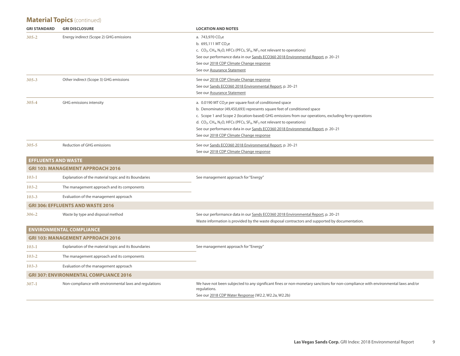| <b>GRI STANDARD</b>        | <b>GRI DISCLOSURE</b>                                  | <b>LOCATION AND NOTES</b>                                                                                                          |
|----------------------------|--------------------------------------------------------|------------------------------------------------------------------------------------------------------------------------------------|
| $305 - 2$                  | Energy indirect (Scope 2) GHG emissions                | a. 743,970 CO <sub>2</sub> e                                                                                                       |
|                            |                                                        | b. 695,111 MT CO <sub>2</sub> e                                                                                                    |
|                            |                                                        | c. CO <sub>2</sub> , CH <sub>4</sub> , N <sub>2</sub> O, HFCs (PFCs, SF <sub>6</sub> , NF <sub>3</sub> not relevant to operations) |
|                            |                                                        | See our performance data in our Sands ECO360 2018 Environmental Report, p. 20-21                                                   |
|                            |                                                        | See our 2018 CDP Climate Change response                                                                                           |
|                            |                                                        | See our Assurance Statement                                                                                                        |
| $305 - 3$                  | Other indirect (Scope 3) GHG emissions                 | See our 2018 CDP Climate Change response                                                                                           |
|                            |                                                        | See our Sands ECO360 2018 Environmental Report, p. 20-21                                                                           |
|                            |                                                        | See our Assurance Statement                                                                                                        |
| $305 - 4$                  | GHG emissions intensity                                | a. $0.0190$ MT CO <sub>2</sub> e per square foot of conditioned space                                                              |
|                            |                                                        | b. Denominator (49,450,693) represents square feet of conditioned space                                                            |
|                            |                                                        | c. Scope 1 and Scope 2 (location-based) GHG emissions from our operations, excluding ferry operations                              |
|                            |                                                        | d. CO <sub>2</sub> , CH <sub>4</sub> , N <sub>2</sub> O, HFCs (PFCs, SF <sub>6</sub> , NF <sub>3</sub> not relevant to operations) |
|                            |                                                        | See our performance data in our Sands ECO360 2018 Environmental Report, p. 20-21                                                   |
|                            |                                                        | See our 2018 CDP Climate Change response                                                                                           |
| $305 - 5$                  | <b>Reduction of GHG emissions</b>                      | See our Sands ECO360 2018 Environmental Report, p. 20-21                                                                           |
|                            |                                                        | See our 2018 CDP Climate Change response                                                                                           |
| <b>EFFLUENTS AND WASTE</b> |                                                        |                                                                                                                                    |
|                            | <b>GRI 103: MANAGEMENT APPROACH 2016</b>               |                                                                                                                                    |
| $I$ 03-I                   | Explanation of the material topic and its Boundaries   | See management approach for "Energy"                                                                                               |
| $103 - 2$                  | The management approach and its components             |                                                                                                                                    |
| $103 - 3$                  | Evaluation of the management approach                  |                                                                                                                                    |
|                            | <b>GRI 306: EFFLUENTS AND WASTE 2016</b>               |                                                                                                                                    |
| $306 - 2$                  | Waste by type and disposal method                      | See our performance data in our Sands ECO360 2018 Environmental Report, p. 20-21                                                   |
|                            |                                                        | Waste information is provided by the waste disposal contractors and supported by documentation.                                    |
|                            | <b>ENVIRONMENTAL COMPLIANCE</b>                        |                                                                                                                                    |
|                            | <b>GRI 103: MANAGEMENT APPROACH 2016</b>               |                                                                                                                                    |
| $103 - 1$                  | Explanation of the material topic and its Boundaries   | See management approach for "Energy"                                                                                               |
| $103 - 2$                  | The management approach and its components             |                                                                                                                                    |
| $103 - 3$                  | Evaluation of the management approach                  |                                                                                                                                    |
|                            | <b>GRI 307: ENVIRONMENTAL COMPLIANCE 2016</b>          |                                                                                                                                    |
| $307 - 1$                  | Non-compliance with environmental laws and regulations | We have not been subjected to any significant fines or non-monetary sanctions for non-compliance with environmental laws and/or    |
|                            |                                                        | regulations.<br>See our 2018 CDP Water Response (W2.2, W2.2a, W2.2b)                                                               |
|                            |                                                        |                                                                                                                                    |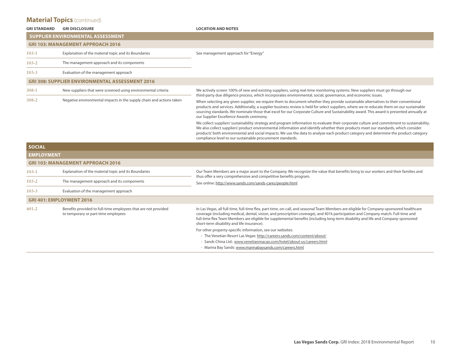| <b>GRI STANDARD</b> | <b>GRI DISCLOSURE</b>                                                                                 | <b>LOCATION AND NOTES</b>                                                                                                                                                                                                                                                                                                                                                                                                                                                                |
|---------------------|-------------------------------------------------------------------------------------------------------|------------------------------------------------------------------------------------------------------------------------------------------------------------------------------------------------------------------------------------------------------------------------------------------------------------------------------------------------------------------------------------------------------------------------------------------------------------------------------------------|
|                     | <b>SUPPLIER ENVIRONMENTAL ASSESSMENT</b>                                                              |                                                                                                                                                                                                                                                                                                                                                                                                                                                                                          |
|                     | <b>GRI 103: MANAGEMENT APPROACH 2016</b>                                                              |                                                                                                                                                                                                                                                                                                                                                                                                                                                                                          |
| $I$ 03- $I$         | Explanation of the material topic and its Boundaries                                                  | See management approach for "Energy"                                                                                                                                                                                                                                                                                                                                                                                                                                                     |
| $103 - 2$           | The management approach and its components                                                            |                                                                                                                                                                                                                                                                                                                                                                                                                                                                                          |
| $103 - 3$           | Evaluation of the management approach                                                                 |                                                                                                                                                                                                                                                                                                                                                                                                                                                                                          |
|                     | <b>GRI 308: SUPPLIER ENVIRONMENTAL ASSESSMENT 2016</b>                                                |                                                                                                                                                                                                                                                                                                                                                                                                                                                                                          |
| $308 - 1$           | New suppliers that were screened using environmental criteria                                         | We actively screen 100% of new and existing suppliers, using real-time monitoring systems. New suppliers must go through our<br>third-party due diligence process, which incorporates environmental, social, governance, and economic issues.                                                                                                                                                                                                                                            |
| $308 - 2$           | Negative environmental impacts in the supply chain and actions taken                                  | When selecting any given supplier, we require them to document whether they provide sustainable alternatives to their conventional<br>products and services. Additionally, a supplier business review is held for select suppliers, where we re-educate them on our sustainable<br>sourcing standards. We nominate those that excel for our Corporate Culture and Sustainability award. This award is presented annually at<br>our Supplier Excellence Awards ceremony.                  |
|                     |                                                                                                       | We collect suppliers' sustainability strategy and program information to evaluate their corporate culture and commitment to sustainability.<br>We also collect suppliers' product environmental information and identify whether their products meet our standards, which consider<br>products' both environmental and social impacts. We use the data to analyze each product category and determine the product category<br>compliance level to our sustainable procurement standards. |
| <b>SOCIAL</b>       |                                                                                                       |                                                                                                                                                                                                                                                                                                                                                                                                                                                                                          |
| <b>EMPLOYMENT</b>   |                                                                                                       |                                                                                                                                                                                                                                                                                                                                                                                                                                                                                          |
|                     | <b>GRI 103: MANAGEMENT APPROACH 2016</b>                                                              |                                                                                                                                                                                                                                                                                                                                                                                                                                                                                          |
| $103 - 1$           | Explanation of the material topic and its Boundaries                                                  | Our Team Members are a major asset to the Company. We recognize the value that benefits bring to our workers and their families and<br>thus offer a very comprehensive and competitive benefits program.                                                                                                                                                                                                                                                                                 |
| $103 - 2$           | The management approach and its components                                                            | See online: http://www.sands.com/sands-cares/people.html                                                                                                                                                                                                                                                                                                                                                                                                                                 |
| $103 - 3$           | Evaluation of the management approach                                                                 |                                                                                                                                                                                                                                                                                                                                                                                                                                                                                          |
|                     | GRI 401: EMPLOYMENT 2016                                                                              |                                                                                                                                                                                                                                                                                                                                                                                                                                                                                          |
| $40I - 2$           | Benefits provided to full-time employees that are not provided<br>to temporary or part-time employees | In Las Vegas, all full-time, full-time flex, part-time, on-call, and seasonal Team Members are eligible for Company-sponsored healthcare<br>coverage (including medical, dental, vision, and prescription coverage), and 401k participation and Company match. Full-time and<br>full-time flex Team Members are eligible for supplemental benefits (including long-term disability and life and Company-sponsored<br>short-term disability and life insurance).                          |
|                     |                                                                                                       | For other property-specific information, see our websites:<br>- The Venetian Resort Las Vegas: http://careers.sands.com/content/about/<br>- Sands China Ltd.: www.venetianmacao.com/hotel/about-us/careers.html<br>- Marina Bay Sands: www.marinabaysands.com/careers.html                                                                                                                                                                                                               |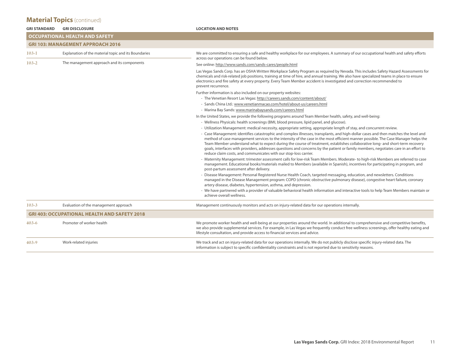| <b>GRI STANDARD</b> | <b>GRI DISCLOSURE</b>                                | <b>LOCATION AND NOTES</b>                                                                                                                                                                                                                                                                                                                                                                                                                                                                                                                                                                                             |
|---------------------|------------------------------------------------------|-----------------------------------------------------------------------------------------------------------------------------------------------------------------------------------------------------------------------------------------------------------------------------------------------------------------------------------------------------------------------------------------------------------------------------------------------------------------------------------------------------------------------------------------------------------------------------------------------------------------------|
|                     | <b>OCCUPATIONAL HEALTH AND SAFETY</b>                |                                                                                                                                                                                                                                                                                                                                                                                                                                                                                                                                                                                                                       |
|                     | <b>GRI 103: MANAGEMENT APPROACH 2016</b>             |                                                                                                                                                                                                                                                                                                                                                                                                                                                                                                                                                                                                                       |
| $103 - 1$           | Explanation of the material topic and its Boundaries | We are committed to ensuring a safe and healthy workplace for our employees. A summary of our occupational health and safety efforts<br>across our operations can be found below.                                                                                                                                                                                                                                                                                                                                                                                                                                     |
| $103 - 2$           | The management approach and its components           | See online: http://www.sands.com/sands-cares/people.html                                                                                                                                                                                                                                                                                                                                                                                                                                                                                                                                                              |
|                     |                                                      | Las Vegas Sands Corp. has an OSHA Written Workplace Safety Program as required by Nevada. This includes Safety Hazard Assessments for<br>chemicals and risk-related job positions, training at time of hire, and annual training. We also have specialized teams in place to ensure<br>electronics and fire safety at every property. Every Team Member accident is investigated and correction recommended to<br>prevent recurrence.                                                                                                                                                                                 |
|                     |                                                      | Further information is also included on our property websites:                                                                                                                                                                                                                                                                                                                                                                                                                                                                                                                                                        |
|                     |                                                      | - The Venetian Resort Las Vegas: http://careers.sands.com/content/about/                                                                                                                                                                                                                                                                                                                                                                                                                                                                                                                                              |
|                     |                                                      | - Sands China Ltd.: www.venetianmacao.com/hotel/about-us/careers.html                                                                                                                                                                                                                                                                                                                                                                                                                                                                                                                                                 |
|                     |                                                      | - Marina Bay Sands: www.marinabaysands.com/careers.html                                                                                                                                                                                                                                                                                                                                                                                                                                                                                                                                                               |
|                     |                                                      | In the United States, we provide the following programs around Team Member health, safety, and well-being:                                                                                                                                                                                                                                                                                                                                                                                                                                                                                                            |
|                     |                                                      | - Wellness Physicals: health screenings (BMI, blood pressure, lipid panel, and glucose).                                                                                                                                                                                                                                                                                                                                                                                                                                                                                                                              |
|                     |                                                      | - Utilization Management: medical necessity, appropriate setting, appropriate length of stay, and concurrent review.                                                                                                                                                                                                                                                                                                                                                                                                                                                                                                  |
|                     |                                                      | - Case Management: identifies catastrophic and complex illnesses, transplants, and high-dollar cases and then matches the level and<br>method of case management services to the intensity of the case in the most efficient manner possible. The Case Manager helps the<br>Team Member understand what to expect during the course of treatment, establishes collaborative long- and short-term recovery<br>goals, interfaces with providers, addresses questions and concerns by the patient or family members, negotiates care in an effort to<br>reduce claim costs, and communicates with our stop-loss carrier. |
|                     |                                                      | - Maternity Management: trimester assessment calls for low-risk Team Members. Moderate- to high-risk Members are referred to case<br>management. Educational books/materials mailed to Members (available in Spanish), incentives for participating in program, and<br>post-partum assessment after delivery.                                                                                                                                                                                                                                                                                                         |
|                     |                                                      | - Disease Management: Personal Registered Nurse Health Coach, targeted messaging, education, and newsletters. Conditions<br>managed in the Disease Management program: COPD (chronic obstructive pulmonary disease), congestive heart failure, coronary<br>artery disease, diabetes, hypertension, asthma, and depression.                                                                                                                                                                                                                                                                                            |
|                     |                                                      | - We have partnered with a provider of valuable behavioral health information and interactive tools to help Team Members maintain or<br>achieve overall wellness.                                                                                                                                                                                                                                                                                                                                                                                                                                                     |
| $103 - 3$           | Evaluation of the management approach                | Management continuously monitors and acts on injury-related data for our operations internally.                                                                                                                                                                                                                                                                                                                                                                                                                                                                                                                       |
|                     | <b>GRI 403: OCCUPATIONAL HEALTH AND SAFETY 2018</b>  |                                                                                                                                                                                                                                                                                                                                                                                                                                                                                                                                                                                                                       |
| $403 - 6$           | Promoter of worker health                            | We promote worker health and well-being at our properties around the world. In additional to comprehensive and competitive benefits,<br>we also provide supplemental services. For example, in Las Vegas we frequently conduct free wellness screenings, offer healthy eating and<br>lifestyle consultation, and provide access to financial services and advice.                                                                                                                                                                                                                                                     |
| 403-9               | Work-related injuries                                | We track and act on injury-related data for our operations internally. We do not publicly disclose specific injury-related data. The<br>information is subject to specific confidentiality constraints and is not reported due to sensitivity reasons.                                                                                                                                                                                                                                                                                                                                                                |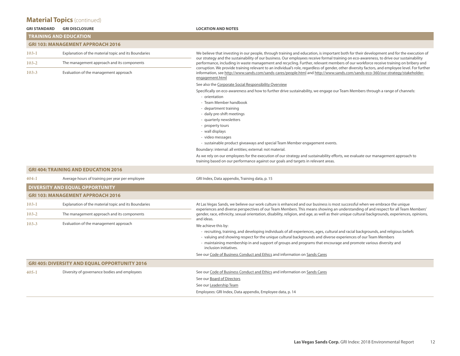| <b>GRI STANDARD</b> | <b>GRI DISCLOSURE</b>                                | <b>LOCATION AND NOTES</b>                                                                                                                                                                                                                                                                                                                                                                                                                                                                              |
|---------------------|------------------------------------------------------|--------------------------------------------------------------------------------------------------------------------------------------------------------------------------------------------------------------------------------------------------------------------------------------------------------------------------------------------------------------------------------------------------------------------------------------------------------------------------------------------------------|
|                     | <b>TRAINING AND EDUCATION</b>                        |                                                                                                                                                                                                                                                                                                                                                                                                                                                                                                        |
|                     | <b>GRI 103: MANAGEMENT APPROACH 2016</b>             |                                                                                                                                                                                                                                                                                                                                                                                                                                                                                                        |
| $103 - 1$           | Explanation of the material topic and its Boundaries | We believe that investing in our people, through training and education, is important both for their development and for the execution of                                                                                                                                                                                                                                                                                                                                                              |
| $103 - 2$           | The management approach and its components           | our strategy and the sustainability of our business. Our employees receive formal training on eco-awareness, to drive our sustainability<br>performance, including in waste management and recycling. Further, relevant members of our workforce receive training on bribery and<br>corruption. We provide training relevant to an individual's role, regardless of gender, other diversity factors, and employee level. For further                                                                   |
| $103 - 3$           | Evaluation of the management approach                | information, see http://www.sands.com/sands-cares/people.html and http://www.sands.com/sands-eco-360/our-strategy/stakeholder-<br>engagement.html                                                                                                                                                                                                                                                                                                                                                      |
|                     |                                                      | See also the Corporate Social Responsibility Overview                                                                                                                                                                                                                                                                                                                                                                                                                                                  |
|                     |                                                      | Specifically on eco-awareness and how to further drive sustainability, we engage our Team Members through a range of channels:<br>- orientation<br>- Team Member handbook<br>- department training<br>- daily pre-shift meetings                                                                                                                                                                                                                                                                       |
|                     |                                                      | - quarterly newsletters<br>- property tours<br>- wall displays<br>- video messages<br>- sustainable product giveaways and special Team Member engagement events.                                                                                                                                                                                                                                                                                                                                       |
|                     |                                                      | Boundary: internal: all entities; external: not material.                                                                                                                                                                                                                                                                                                                                                                                                                                              |
|                     |                                                      | As we rely on our employees for the execution of our strategy and sustainability efforts, we evaluate our management approach to<br>training based on our performance against our goals and targets in relevant areas.                                                                                                                                                                                                                                                                                 |
|                     | <b>GRI 404: TRAINING AND EDUCATION 2016</b>          |                                                                                                                                                                                                                                                                                                                                                                                                                                                                                                        |
| $404 - I$           | Average hours of training per year per employee      | GRI Index, Data appendix, Training data, p. 15                                                                                                                                                                                                                                                                                                                                                                                                                                                         |
|                     | <b>DIVERSITY AND EQUAL OPPORTUNITY</b>               |                                                                                                                                                                                                                                                                                                                                                                                                                                                                                                        |
|                     | <b>GRI 103: MANAGEMENT APPROACH 2016</b>             |                                                                                                                                                                                                                                                                                                                                                                                                                                                                                                        |
| $103 - 1$           | Explanation of the material topic and its Boundaries | At Las Vegas Sands, we believe our work culture is enhanced and our business is most successful when we embrace the unique                                                                                                                                                                                                                                                                                                                                                                             |
| $103 - 2$           | The management approach and its components           | experiences and diverse perspectives of our Team Members. This means showing an understanding of and respect for all Team Members'<br>gender, race, ethnicity, sexual orientation, disability, religion, and age, as well as their unique cultural backgrounds, experiences, opinions,<br>and ideas.                                                                                                                                                                                                   |
| $103 - 3$           | Evaluation of the management approach                | We achieve this by:<br>- recruiting, training, and developing individuals of all experiences, ages, cultural and racial backgrounds, and religious beliefs<br>- valuing and showing respect for the unique cultural backgrounds and diverse experiences of our Team Members<br>- maintaining membership in and support of groups and programs that encourage and promote various diversity and<br>inclusion initiatives.<br>See our Code of Business Conduct and Ethics and information on Sands Cares |
|                     | <b>GRI 405: DIVERSITY AND EQUAL OPPORTUNITY 2016</b> |                                                                                                                                                                                                                                                                                                                                                                                                                                                                                                        |
| 405-I               | Diversity of governance bodies and employees         | See our Code of Business Conduct and Ethics and information on Sands Cares                                                                                                                                                                                                                                                                                                                                                                                                                             |
|                     |                                                      | See our <b>Board of Directors</b>                                                                                                                                                                                                                                                                                                                                                                                                                                                                      |
|                     |                                                      | See our Leadership Team                                                                                                                                                                                                                                                                                                                                                                                                                                                                                |
|                     |                                                      | Employees: GRI Index, Data appendix, Employee data, p. 14                                                                                                                                                                                                                                                                                                                                                                                                                                              |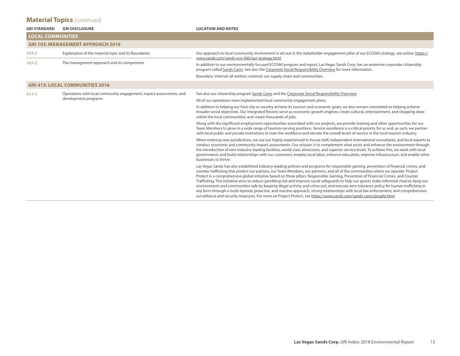<span id="page-12-0"></span>

| <b>GRI STANDARD</b>      | <b>GRI DISCLOSURE</b>                                                                       | <b>LOCATION AND NOTES</b>                                                                                                                                                                                                                                                                                                                                                                                                                                                                                                                                                                                                                                                                                                                                                                                                                                                                                                                                                      |  |  |  |  |
|--------------------------|---------------------------------------------------------------------------------------------|--------------------------------------------------------------------------------------------------------------------------------------------------------------------------------------------------------------------------------------------------------------------------------------------------------------------------------------------------------------------------------------------------------------------------------------------------------------------------------------------------------------------------------------------------------------------------------------------------------------------------------------------------------------------------------------------------------------------------------------------------------------------------------------------------------------------------------------------------------------------------------------------------------------------------------------------------------------------------------|--|--|--|--|
| <b>LOCAL COMMUNITIES</b> |                                                                                             |                                                                                                                                                                                                                                                                                                                                                                                                                                                                                                                                                                                                                                                                                                                                                                                                                                                                                                                                                                                |  |  |  |  |
|                          | <b>GRI 103: MANAGEMENT APPROACH 2016</b>                                                    |                                                                                                                                                                                                                                                                                                                                                                                                                                                                                                                                                                                                                                                                                                                                                                                                                                                                                                                                                                                |  |  |  |  |
| $103 - 1$                | Explanation of the material topic and its Boundaries                                        | Our approach to local community involvement is set out in the stakeholder engagement pillar of our ECO360 strategy, see online: https://<br>www.sands.com/sands-eco-360/our-strategy.html.                                                                                                                                                                                                                                                                                                                                                                                                                                                                                                                                                                                                                                                                                                                                                                                     |  |  |  |  |
| $103 - 2$                | The management approach and its components                                                  | In addition to our environmentally focused ECO360 program and report, Las Vegas Sands Corp. has an extensive corporate citizenship<br>program called Sands Cares. See also the Corporate Social Responsibility Overview for more information.                                                                                                                                                                                                                                                                                                                                                                                                                                                                                                                                                                                                                                                                                                                                  |  |  |  |  |
|                          |                                                                                             | Boundary: internal: all entities; external: our supply chain and communities.                                                                                                                                                                                                                                                                                                                                                                                                                                                                                                                                                                                                                                                                                                                                                                                                                                                                                                  |  |  |  |  |
|                          | <b>GRI 413: LOCAL COMMUNITIES 2016</b>                                                      |                                                                                                                                                                                                                                                                                                                                                                                                                                                                                                                                                                                                                                                                                                                                                                                                                                                                                                                                                                                |  |  |  |  |
| $4I3-I$                  | Operations with local community engagement, impact assessments, and<br>development programs | See also our citizenship program Sands Cares and the Corporate Social Responsibility Overview                                                                                                                                                                                                                                                                                                                                                                                                                                                                                                                                                                                                                                                                                                                                                                                                                                                                                  |  |  |  |  |
|                          |                                                                                             | All of our operations have implemented local community engagement plans.                                                                                                                                                                                                                                                                                                                                                                                                                                                                                                                                                                                                                                                                                                                                                                                                                                                                                                       |  |  |  |  |
|                          |                                                                                             | In addition to helping our host city or country achieve its tourism and economic goals, we also remain committed to helping achieve<br>broader social objectives. Our Integrated Resorts serve as economic growth engines; create cultural, entertainment, and shopping draw<br>within the local communities; and create thousands of jobs.                                                                                                                                                                                                                                                                                                                                                                                                                                                                                                                                                                                                                                    |  |  |  |  |
|                          |                                                                                             | Along with the significant employment opportunities associated with our projects, we provide training and other opportunities for our<br>Team Members to grow in a wide range of tourism-serving positions. Service excellence is a critical priority for us and, as such, we partner<br>with local public and private institutions to train the workforce and elevate the overall levels of service in the local tourism industry.                                                                                                                                                                                                                                                                                                                                                                                                                                                                                                                                            |  |  |  |  |
|                          |                                                                                             | When entering new jurisdictions, we use our highly experienced in-house staff, independent international consultants, and local experts to<br>conduct economic and community impact assessments. Our mission is to complement what exists and enhance the environment through<br>the introduction of new industry-leading facilities, world-class attractions, and superior service levels. To achieve this, we work with local<br>governments and build relationships with our customers, employ local labor, enhance education, improve infrastructure, and enable other<br>businesses to thrive.                                                                                                                                                                                                                                                                                                                                                                            |  |  |  |  |
|                          |                                                                                             | Las Vegas Sands has also established industry-leading policies and programs for responsible gaming, prevention of financial crimes, and<br>counter trafficking that protect our patrons, our Team Members, our partners, and all of the communities where we operate. Project<br>Protect is a comprehensive global initiative based on three pillars: Responsible Gaming, Prevention of Financial Crimes, and Counter<br>Trafficking. This initiative aims to reduce gambling risk and improve social safeguards to help our quests make informed choices; keep our<br>environments and communities safe by keeping illegal activity and crime out; and execute zero tolerance policy for human trafficking in<br>any form through a multi-layered, proactive, and reactive approach, strong relationships with local law enforcement, and comprehensive<br>surveillance and security measures. For more on Project Protect, see https://www.sands.com/sands-cares/people.html |  |  |  |  |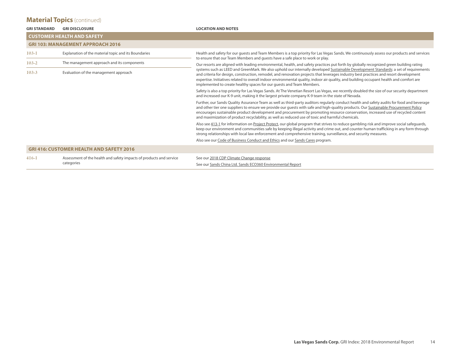| <b>GRI STANDARD</b> | <b>GRI DISCLOSURE</b>                                                             | <b>LOCATION AND NOTES</b>                                                                                                                                                                                                                                                                                                                                                                                                                                                                                                   |
|---------------------|-----------------------------------------------------------------------------------|-----------------------------------------------------------------------------------------------------------------------------------------------------------------------------------------------------------------------------------------------------------------------------------------------------------------------------------------------------------------------------------------------------------------------------------------------------------------------------------------------------------------------------|
|                     | <b>CUSTOMER HEALTH AND SAFETY</b>                                                 |                                                                                                                                                                                                                                                                                                                                                                                                                                                                                                                             |
|                     | <b>GRI 103: MANAGEMENT APPROACH 2016</b>                                          |                                                                                                                                                                                                                                                                                                                                                                                                                                                                                                                             |
| $I03-I$             | Explanation of the material topic and its Boundaries                              | Health and safety for our guests and Team Members is a top priority for Las Vegas Sands. We continuously assess our products and services<br>to ensure that our Team Members and quests have a safe place to work or play.                                                                                                                                                                                                                                                                                                  |
| $103 - 2$           | The management approach and its components                                        | Our resorts are aligned with leading environmental, health, and safety practices put forth by globally recognized green building rating                                                                                                                                                                                                                                                                                                                                                                                     |
| $103 - 3$           | Evaluation of the management approach                                             | systems such as LEED and GreenMark. We also uphold our internally developed Sustainable Development Standards: a set of requirements<br>and criteria for design, construction, remodel, and renovation projects that leverages industry best practices and resort development<br>expertise. Initiatives related to overall indoor environmental quality, indoor air quality, and building occupant health and comfort are<br>implemented to create healthy spaces for our quests and Team Members.                          |
|                     |                                                                                   | Safety is also a top priority for Las Vegas Sands. At The Venetian Resort Las Vegas, we recently doubled the size of our security department<br>and increased our K-9 unit, making it the largest private company K-9 team in the state of Nevada.                                                                                                                                                                                                                                                                          |
|                     |                                                                                   | Further, our Sands Quality Assurance Team as well as third-party auditors regularly conduct health and safety audits for food and beverage<br>and other tier one suppliers to ensure we provide our quests with safe and high-quality products. Our Sustainable Procurement Policy<br>encourages sustainable product development and procurement by promoting resource conservation, increased use of recycled content<br>and maximization of product recyclability, as well as reduced use of toxic and harmful chemicals. |
|                     |                                                                                   | Also see 413-1 for information on Project Protect, our global program that strives to reduce gambling risk and improve social safeguards,<br>keep our environment and communities safe by keeping illegal activity and crime out, and counter human trafficking in any form through<br>strong relationships with local law enforcement and comprehensive training, surveillance, and security measures.                                                                                                                     |
|                     |                                                                                   | Also see our Code of Business Conduct and Ethics and our Sands Cares program.                                                                                                                                                                                                                                                                                                                                                                                                                                               |
|                     | <b>GRI 416: CUSTOMER HEALTH AND SAFETY 2016</b>                                   |                                                                                                                                                                                                                                                                                                                                                                                                                                                                                                                             |
| $416 - 1$           | Assessment of the health and safety impacts of products and service<br>categories | See our 2018 CDP Climate Change response<br>See our Sands China Ltd. Sands ECO360 Environmental Report                                                                                                                                                                                                                                                                                                                                                                                                                      |